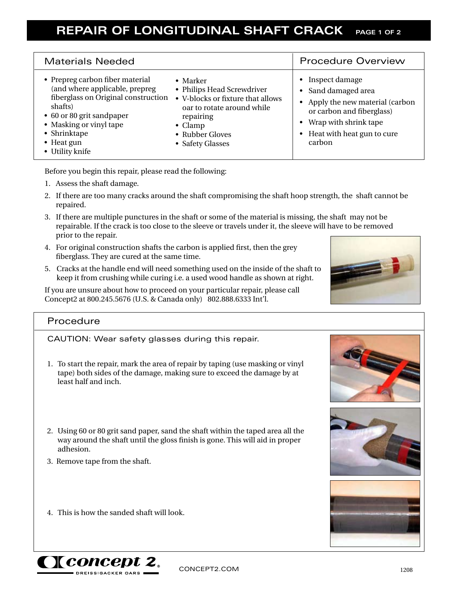## **REPAIR OF LONGITUDINAL SHAFT CRACK PAGE 1 OF 2**

| <b>Materials Needed</b>                                                                                                                                                                                                      |                                                                                                                                                                                          | <b>Procedure Overview</b>                                                                                                                                                              |
|------------------------------------------------------------------------------------------------------------------------------------------------------------------------------------------------------------------------------|------------------------------------------------------------------------------------------------------------------------------------------------------------------------------------------|----------------------------------------------------------------------------------------------------------------------------------------------------------------------------------------|
| • Prepreg carbon fiber material<br>(and where applicable, prepreg<br>fiberglass on Original construction<br>shafts)<br>• 60 or 80 grit sandpaper<br>• Masking or vinyl tape<br>• Shrinktape<br>• Heat gun<br>• Utility knife | $\bullet$ Marker<br>• Philips Head Screwdriver<br>• V-blocks or fixture that allows<br>oar to rotate around while<br>repairing<br>$\bullet$ Clamp<br>• Rubber Gloves<br>• Safety Glasses | Inspect damage<br>$\bullet$<br>• Sand damaged area<br>Apply the new material (carbon<br>or carbon and fiberglass)<br>• Wrap with shrink tape<br>• Heat with heat gun to cure<br>carbon |

Before you begin this repair, please read the following:

1. Assess the shaft damage.

 $\overline{\phantom{a}}$ 

- 2. If there are too many cracks around the shaft compromising the shaft hoop strength, the shaft cannot be repaired.
- 3. If there are multiple punctures in the shaft or some of the material is missing, the shaft may not be repairable. If the crack is too close to the sleeve or travels under it, the sleeve will have to be removed prior to the repair.
- 4. For original construction shafts the carbon is applied first, then the grey fiberglass. They are cured at the same time.
- 5. Cracks at the handle end will need something used on the inside of the shaft to keep it from crushing while curing i.e. a used wood handle as shown at right.

If you are unsure about how to proceed on your particular repair, please call Concept2 at 800.245.5676 (U.S. & Canada only) 802.888.6333 Int'l.

## Procedure

CAUTION: Wear safety glasses during this repair.

- 1. To start the repair, mark the area of repair by taping (use masking or vinyl tape) both sides of the damage, making sure to exceed the damage by at least half and inch.
- 2. Using 60 or 80 grit sand paper, sand the shaft within the taped area all the way around the shaft until the gloss finish is gone. This will aid in proper adhesion.
- 3. Remove tape from the shaft.
- 4. This is how the sanded shaft will look.









CONCEPT2.COM 1208